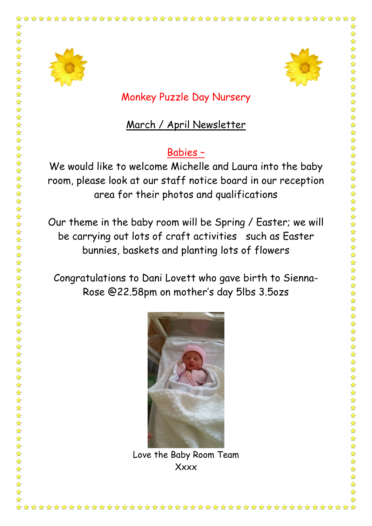

Monkey Puzzle Day Nursery

## March / April Newsletter

## Babies –

We would like to welcome Michelle and Laura into the baby room, please look at our staff notice board in our reception area for their photos and qualifications

Our theme in the baby room will be Spring / Easter; we will be carrying out lots of craft activities such as Easter bunnies, baskets and planting lots of flowers

Congratulations to Dani Lovett who gave birth to Sienna-Rose @22.58pm on mother's day 5lbs 3.5ozs



Love the Baby Room Team **Xxxx**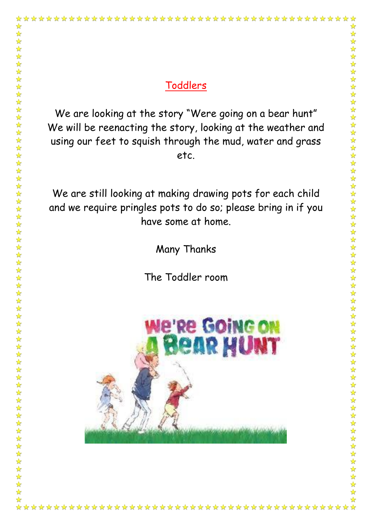\*\*\*\*\*\*\*\*\*\*\*\*\*\*\*\*\*\*\*\*\*\*\*\*\*\*\*\*\*\*\*\*\*\*\*\*\*\*

We are looking at the story "Were going on a bear hunt" We will be reenacting the story, looking at the weather and using our feet to squish through the mud, water and grass etc.

We are still looking at making drawing pots for each child and we require pringles pots to do so; please bring in if you have some at home.

Many Thanks

The Toddler room

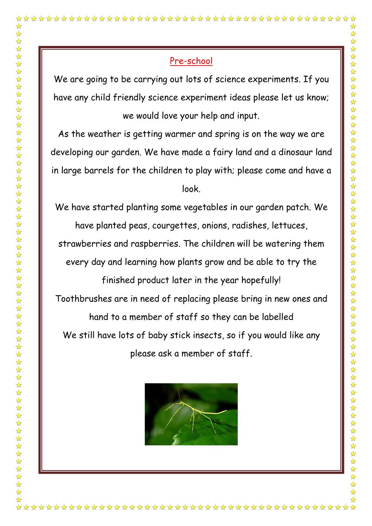We are going to be carrying out lots of science experiments. If you have any child friendly science experiment ideas please let us know; we would love your help and input.

As the weather is getting warmer and spring is on the way we are developing our garden. We have made a fairy land and a dinosaur land in large barrels for the children to play with; please come and have a look.

We have started planting some vegetables in our garden patch. We have planted peas, courgettes, onions, radishes, lettuces,

strawberries and raspberries. The children will be watering them

every day and learning how plants grow and be able to try the

finished product later in the year hopefully!

Toothbrushes are in need of replacing please bring in new ones and

hand to a member of staff so they can be labelled

We still have lots of baby stick insects, so if you would like any please ask a member of staff.

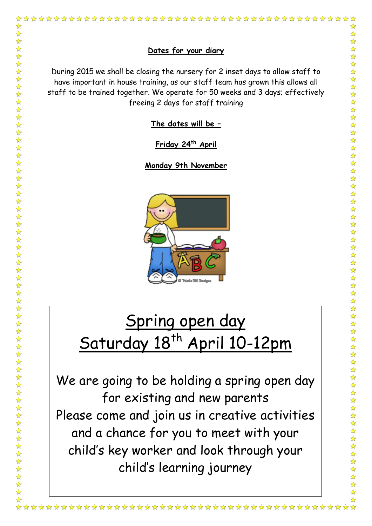

54 54

 $\frac{1}{\sqrt{2}}$ 

During 2015 we shall be closing the nursery for 2 inset days to allow staff to have important in house training, as our staff team has grown this allows all staff to be trained together. We operate for 50 weeks and 3 days; effectively freeing 2 days for staff training

**The dates will be –**

**Friday 24th April** 

**Monday 9th November** 



## Spring open day Saturday 18<sup>th</sup> April 10-12pm

We are going to be holding a spring open day for existing and new parents Please come and join us in creative activities and a chance for you to meet with your child's key worker and look through your child's learning journey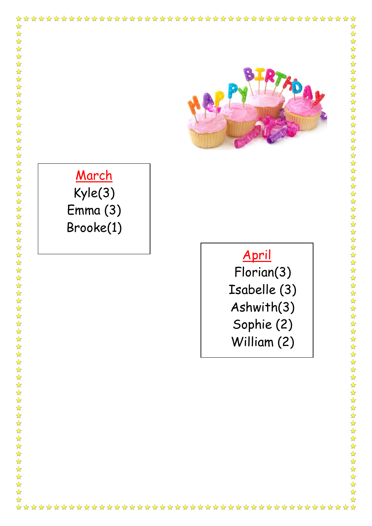